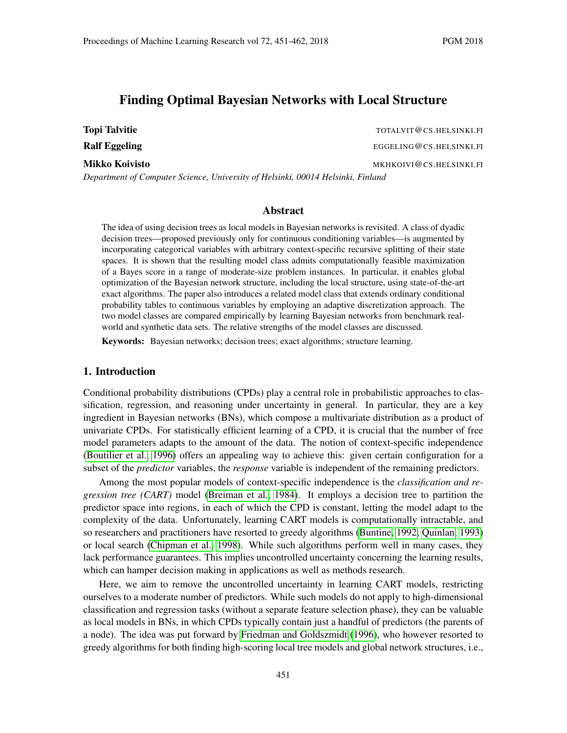# Finding Optimal Bayesian Networks with Local Structure

Topi Talvitie The Topic Talvitie Topic Talvitie Topic Topic Talvitie Topic Talvitie Topic Talvitie Topic Talvitie Ralf Eggeling EGGELING@CS.HELSINKI.FI Mikko Koivisto MKHKOIVI@CS.HELSINKI.FI *Department of Computer Science, University of Helsinki, 00014 Helsinki, Finland*

## Abstract

The idea of using decision trees as local models in Bayesian networks is revisited. A class of dyadic decision trees—proposed previously only for continuous conditioning variables—is augmented by incorporating categorical variables with arbitrary context-specific recursive splitting of their state spaces. It is shown that the resulting model class admits computationally feasible maximization of a Bayes score in a range of moderate-size problem instances. In particular, it enables global optimization of the Bayesian network structure, including the local structure, using state-of-the-art exact algorithms. The paper also introduces a related model class that extends ordinary conditional probability tables to continuous variables by employing an adaptive discretization approach. The two model classes are compared empirically by learning Bayesian networks from benchmark realworld and synthetic data sets. The relative strengths of the model classes are discussed.

Keywords: Bayesian networks; decision trees; exact algorithms; structure learning.

# 1. Introduction

Conditional probability distributions (CPDs) play a central role in probabilistic approaches to classification, regression, and reasoning under uncertainty in general. In particular, they are a key ingredient in Bayesian networks (BNs), which compose a multivariate distribution as a product of univariate CPDs. For statistically efficient learning of a CPD, it is crucial that the number of free model parameters adapts to the amount of the data. The notion of context-specific independence [\(Boutilier et al., 1996\)](#page-10-0) offers an appealing way to achieve this: given certain configuration for a subset of the *predictor* variables, the *response* variable is independent of the remaining predictors.

Among the most popular models of context-specific independence is the *classification and regression tree (CART)* model [\(Breiman et al., 1984\)](#page-10-1). It employs a decision tree to partition the predictor space into regions, in each of which the CPD is constant, letting the model adapt to the complexity of the data. Unfortunately, learning CART models is computationally intractable, and so researchers and practitioners have resorted to greedy algorithms [\(Buntine, 1992;](#page-10-2) [Quinlan, 1993\)](#page-11-0) or local search [\(Chipman et al., 1998\)](#page-11-1). While such algorithms perform well in many cases, they lack performance guarantees. This implies uncontrolled uncertainty concerning the learning results, which can hamper decision making in applications as well as methods research.

Here, we aim to remove the uncontrolled uncertainty in learning CART models, restricting ourselves to a moderate number of predictors. While such models do not apply to high-dimensional classification and regression tasks (without a separate feature selection phase), they can be valuable as local models in BNs, in which CPDs typically contain just a handful of predictors (the parents of a node). The idea was put forward by [Friedman and Goldszmidt](#page-11-2) [\(1996\)](#page-11-2), who however resorted to greedy algorithms for both finding high-scoring local tree models and global network structures, i.e.,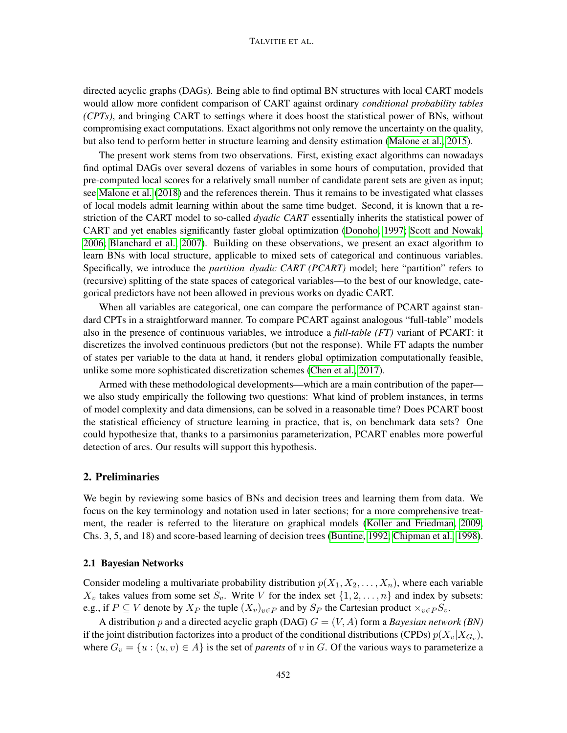#### TALVITIE ET AL.

directed acyclic graphs (DAGs). Being able to find optimal BN structures with local CART models would allow more confident comparison of CART against ordinary *conditional probability tables (CPTs)*, and bringing CART to settings where it does boost the statistical power of BNs, without compromising exact computations. Exact algorithms not only remove the uncertainty on the quality, but also tend to perform better in structure learning and density estimation [\(Malone et al., 2015\)](#page-11-3).

The present work stems from two observations. First, existing exact algorithms can nowadays find optimal DAGs over several dozens of variables in some hours of computation, provided that pre-computed local scores for a relatively small number of candidate parent sets are given as input; see [Malone et al.](#page-11-4) [\(2018\)](#page-11-4) and the references therein. Thus it remains to be investigated what classes of local models admit learning within about the same time budget. Second, it is known that a restriction of the CART model to so-called *dyadic CART* essentially inherits the statistical power of CART and yet enables significantly faster global optimization [\(Donoho, 1997;](#page-11-5) [Scott and Nowak,](#page-11-6) [2006;](#page-11-6) [Blanchard et al., 2007\)](#page-10-3). Building on these observations, we present an exact algorithm to learn BNs with local structure, applicable to mixed sets of categorical and continuous variables. Specifically, we introduce the *partition–dyadic CART (PCART)* model; here "partition" refers to (recursive) splitting of the state spaces of categorical variables—to the best of our knowledge, categorical predictors have not been allowed in previous works on dyadic CART.

When all variables are categorical, one can compare the performance of PCART against standard CPTs in a straightforward manner. To compare PCART against analogous "full-table" models also in the presence of continuous variables, we introduce a *full-table (FT)* variant of PCART: it discretizes the involved continuous predictors (but not the response). While FT adapts the number of states per variable to the data at hand, it renders global optimization computationally feasible, unlike some more sophisticated discretization schemes [\(Chen et al., 2017\)](#page-11-7).

Armed with these methodological developments—which are a main contribution of the paper we also study empirically the following two questions: What kind of problem instances, in terms of model complexity and data dimensions, can be solved in a reasonable time? Does PCART boost the statistical efficiency of structure learning in practice, that is, on benchmark data sets? One could hypothesize that, thanks to a parsimonius parameterization, PCART enables more powerful detection of arcs. Our results will support this hypothesis.

## 2. Preliminaries

We begin by reviewing some basics of BNs and decision trees and learning them from data. We focus on the key terminology and notation used in later sections; for a more comprehensive treatment, the reader is referred to the literature on graphical models [\(Koller and Friedman, 2009,](#page-11-8) Chs. 3, 5, and 18) and score-based learning of decision trees [\(Buntine, 1992;](#page-10-2) [Chipman et al., 1998\)](#page-11-1).

#### 2.1 Bayesian Networks

Consider modeling a multivariate probability distribution  $p(X_1, X_2, \ldots, X_n)$ , where each variable  $X_v$  takes values from some set  $S_v$ . Write V for the index set  $\{1, 2, \ldots, n\}$  and index by subsets: e.g., if  $P \subseteq V$  denote by  $X_P$  the tuple  $(X_v)_{v \in P}$  and by  $S_P$  the Cartesian product  $\times_{v \in P} S_v$ .

A distribution p and a directed acyclic graph (DAG)  $G = (V, A)$  form a *Bayesian network (BN)* if the joint distribution factorizes into a product of the conditional distributions (CPDs)  $p(X_v|X_{G_v})$ , where  $G_v = \{u : (u, v) \in A\}$  is the set of *parents* of v in G. Of the various ways to parameterize a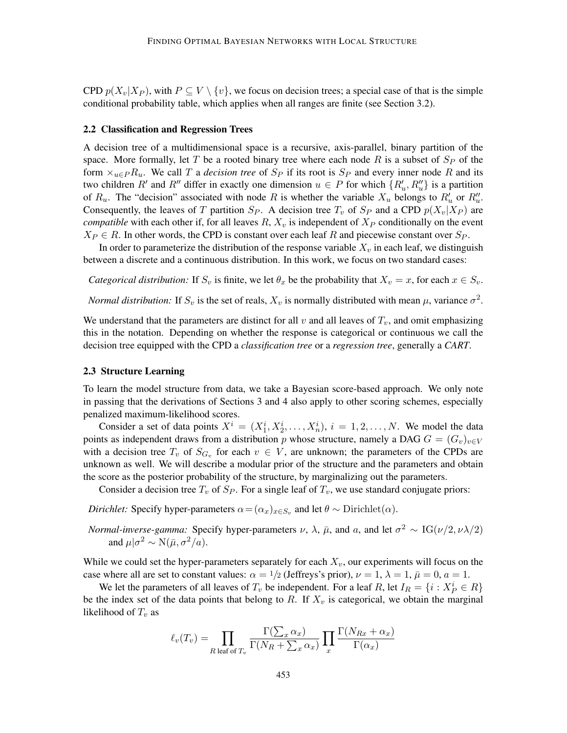CPD  $p(X_v|X_P)$ , with  $P \subseteq V \setminus \{v\}$ , we focus on decision trees; a special case of that is the simple conditional probability table, which applies when all ranges are finite (see Section 3.2).

#### 2.2 Classification and Regression Trees

A decision tree of a multidimensional space is a recursive, axis-parallel, binary partition of the space. More formally, let T be a rooted binary tree where each node R is a subset of  $S_P$  of the form  $\times_{u \in P} R_u$ . We call T a *decision tree* of  $S_P$  if its root is  $S_P$  and every inner node R and its two children R' and R'' differ in exactly one dimension  $u \in P$  for which  $\{R'_u, R''_u\}$  is a partition of  $R_u$ . The "decision" associated with node R is whether the variable  $X_u$  belongs to  $R'_u$  or  $R''_u$ . Consequently, the leaves of T partition  $S_P$ . A decision tree  $T_v$  of  $S_P$  and a CPD  $p(X_v|X_P)$  are *compatible* with each other if, for all leaves  $R$ ,  $X_v$  is independent of  $X_P$  conditionally on the event  $X_P \in R$ . In other words, the CPD is constant over each leaf R and piecewise constant over  $S_P$ .

In order to parameterize the distribution of the response variable  $X_v$  in each leaf, we distinguish between a discrete and a continuous distribution. In this work, we focus on two standard cases:

*Categorical distribution:* If  $S_v$  is finite, we let  $\theta_x$  be the probability that  $X_v = x$ , for each  $x \in S_v$ .

*Normal distribution:* If  $S_v$  is the set of reals,  $X_v$  is normally distributed with mean  $\mu$ , variance  $\sigma^2$ .

We understand that the parameters are distinct for all  $v$  and all leaves of  $T_v$ , and omit emphasizing this in the notation. Depending on whether the response is categorical or continuous we call the decision tree equipped with the CPD a *classification tree* or a *regression tree*, generally a *CART*.

#### 2.3 Structure Learning

To learn the model structure from data, we take a Bayesian score-based approach. We only note in passing that the derivations of Sections 3 and 4 also apply to other scoring schemes, especially penalized maximum-likelihood scores.

Consider a set of data points  $X^i = (X_1^i, X_2^i, \dots, X_n^i), i = 1, 2, \dots, N$ . We model the data points as independent draws from a distribution p whose structure, namely a DAG  $G = (G_v)_{v \in V}$ with a decision tree  $T_v$  of  $S_{G_v}$  for each  $v \in V$ , are unknown; the parameters of the CPDs are unknown as well. We will describe a modular prior of the structure and the parameters and obtain the score as the posterior probability of the structure, by marginalizing out the parameters.

Consider a decision tree  $T_v$  of  $S_P$ . For a single leaf of  $T_v$ , we use standard conjugate priors:

*Dirichlet:* Specify hyper-parameters  $\alpha = (\alpha_x)_{x \in S_v}$  and let  $\theta \sim$  Dirichlet $(\alpha)$ .

*Normal-inverse-gamma:* Specify hyper-parameters  $\nu$ ,  $\lambda$ ,  $\bar{\mu}$ , and  $a$ , and let  $\sigma^2 \sim IG(\nu/2, \nu\lambda/2)$ and  $\mu|\sigma^2 \sim N(\bar{\mu}, \sigma^2/a)$ .

While we could set the hyper-parameters separately for each  $X<sub>v</sub>$ , our experiments will focus on the case where all are set to constant values:  $\alpha = 1/2$  (Jeffreys's prior),  $\nu = 1$ ,  $\lambda = 1$ ,  $\bar{\mu} = 0$ ,  $a = 1$ .

We let the parameters of all leaves of  $T_v$  be independent. For a leaf R, let  $I_R = \{i : X_P^i \in R\}$ be the index set of the data points that belong to R. If  $X_v$  is categorical, we obtain the marginal likelihood of  $T_v$  as

$$
\ell_v(T_v) = \prod_{R \text{ leaf of } T_v} \frac{\Gamma(\sum_x \alpha_x)}{\Gamma(N_R + \sum_x \alpha_x)} \prod_x \frac{\Gamma(N_{Rx} + \alpha_x)}{\Gamma(\alpha_x)}
$$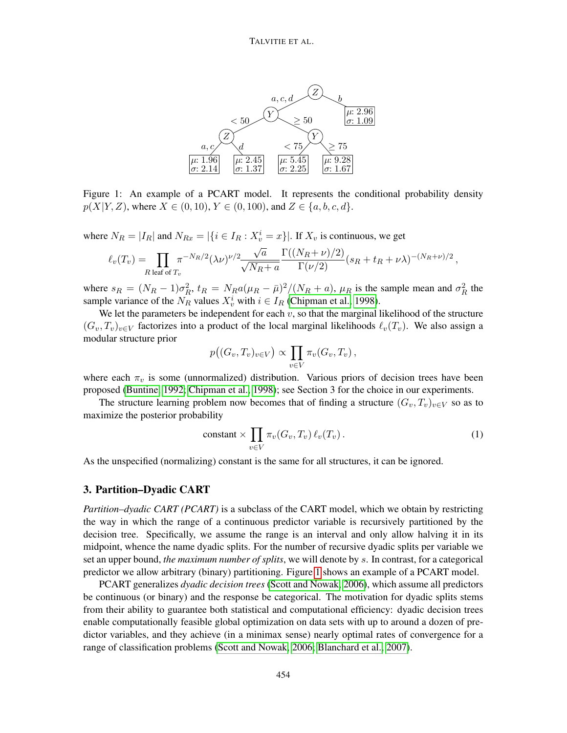<span id="page-3-0"></span>

Figure 1: An example of a PCART model. It represents the conditional probability density  $p(X|Y, Z)$ , where  $X \in (0, 10)$ ,  $Y \in (0, 100)$ , and  $Z \in \{a, b, c, d\}$ .

where  $N_R = |I_R|$  and  $N_{Rx} = |\{i \in I_R : X_v^i = x\}|$ . If  $X_v$  is continuous, we get

$$
\ell_v(T_v) = \prod_{R \text{ leaf of } T_v} \pi^{-N_R/2} (\lambda \nu)^{\nu/2} \frac{\sqrt{a}}{\sqrt{N_R + a}} \frac{\Gamma((N_R + \nu)/2)}{\Gamma(\nu/2)} (s_R + t_R + \nu \lambda)^{-(N_R + \nu)/2},
$$

where  $s_R = (N_R - 1)\sigma_R^2$ ,  $t_R = N_R a(\mu_R - \bar{\mu})^2/(N_R + a)$ ,  $\mu_R$  is the sample mean and  $\sigma_R^2$  the sample variance of the  $N_R$  values  $X_v^i$  with  $i \in I_R$  [\(Chipman et al., 1998\)](#page-11-1).

We let the parameters be independent for each  $v$ , so that the marginal likelihood of the structure  $(G_v, T_v)_{v \in V}$  factorizes into a product of the local marginal likelihoods  $\ell_v(T_v)$ . We also assign a modular structure prior

$$
p\big((G_v,T_v)_{v\in V}\big)\propto \prod_{v\in V}\pi_v(G_v,T_v)\,,
$$

where each  $\pi_v$  is some (unnormalized) distribution. Various priors of decision trees have been proposed [\(Buntine, 1992;](#page-10-2) [Chipman et al., 1998\)](#page-11-1); see Section 3 for the choice in our experiments.

The structure learning problem now becomes that of finding a structure  $(G_v, T_v)_{v \in V}$  so as to maximize the posterior probability

<span id="page-3-1"></span>
$$
constant \times \prod_{v \in V} \pi_v(G_v, T_v) \ell_v(T_v).
$$
 (1)

As the unspecified (normalizing) constant is the same for all structures, it can be ignored.

# <span id="page-3-2"></span>3. Partition–Dyadic CART

*Partition–dyadic CART (PCART)* is a subclass of the CART model, which we obtain by restricting the way in which the range of a continuous predictor variable is recursively partitioned by the decision tree. Specifically, we assume the range is an interval and only allow halving it in its midpoint, whence the name dyadic splits. For the number of recursive dyadic splits per variable we set an upper bound, *the maximum number of splits*, we will denote by s. In contrast, for a categorical predictor we allow arbitrary (binary) partitioning. Figure [1](#page-3-0) shows an example of a PCART model.

PCART generalizes *dyadic decision trees* [\(Scott and Nowak, 2006\)](#page-11-6), which assume all predictors be continuous (or binary) and the response be categorical. The motivation for dyadic splits stems from their ability to guarantee both statistical and computational efficiency: dyadic decision trees enable computationally feasible global optimization on data sets with up to around a dozen of predictor variables, and they achieve (in a minimax sense) nearly optimal rates of convergence for a range of classification problems [\(Scott and Nowak, 2006;](#page-11-6) [Blanchard et al., 2007\)](#page-10-3).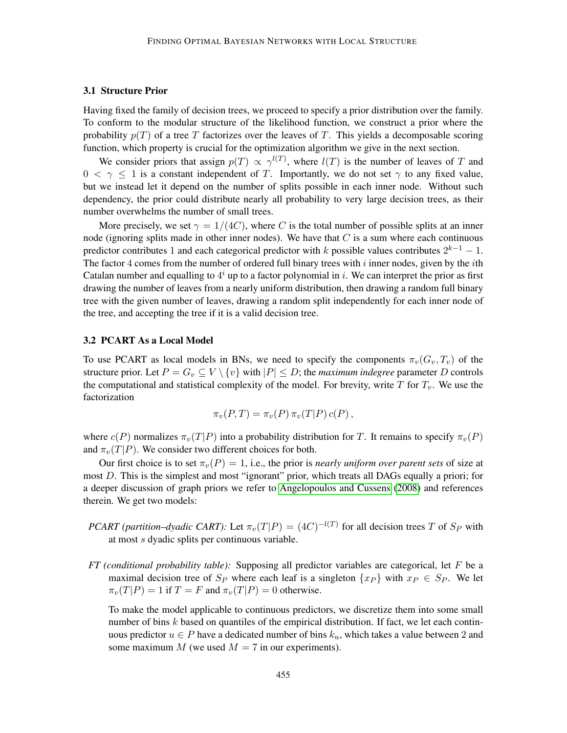## 3.1 Structure Prior

Having fixed the family of decision trees, we proceed to specify a prior distribution over the family. To conform to the modular structure of the likelihood function, we construct a prior where the probability  $p(T)$  of a tree T factorizes over the leaves of T. This yields a decomposable scoring function, which property is crucial for the optimization algorithm we give in the next section.

We consider priors that assign  $p(T) \propto \gamma^{l(T)}$ , where  $l(T)$  is the number of leaves of T and  $0 < \gamma \leq 1$  is a constant independent of T. Importantly, we do not set  $\gamma$  to any fixed value, but we instead let it depend on the number of splits possible in each inner node. Without such dependency, the prior could distribute nearly all probability to very large decision trees, as their number overwhelms the number of small trees.

More precisely, we set  $\gamma = 1/(4C)$ , where C is the total number of possible splits at an inner node (ignoring splits made in other inner nodes). We have that  $C$  is a sum where each continuous predictor contributes 1 and each categorical predictor with k possible values contributes  $2^{k-1} - 1$ . The factor 4 comes from the number of ordered full binary trees with  $i$  inner nodes, given by the  $i$ th Catalan number and equalling to  $4^i$  up to a factor polynomial in i. We can interpret the prior as first drawing the number of leaves from a nearly uniform distribution, then drawing a random full binary tree with the given number of leaves, drawing a random split independently for each inner node of the tree, and accepting the tree if it is a valid decision tree.

## 3.2 PCART As a Local Model

To use PCART as local models in BNs, we need to specify the components  $\pi_v(G_v, T_v)$  of the structure prior. Let  $P = G_v \subseteq V \setminus \{v\}$  with  $|P| \le D$ ; the *maximum indegree* parameter D controls the computational and statistical complexity of the model. For brevity, write  $T$  for  $T_v$ . We use the factorization

$$
\pi_v(P,T) = \pi_v(P) \,\pi_v(T|P) \,c(P)\,,
$$

where  $c(P)$  normalizes  $\pi_v(T|P)$  into a probability distribution for T. It remains to specify  $\pi_v(P)$ and  $\pi_v(T|P)$ . We consider two different choices for both.

Our first choice is to set  $\pi_v(P) = 1$ , i.e., the prior is *nearly uniform over parent sets* of size at most D. This is the simplest and most "ignorant" prior, which treats all DAGs equally a priori; for a deeper discussion of graph priors we refer to [Angelopoulos and Cussens](#page-10-4) [\(2008\)](#page-10-4) and references therein. We get two models:

- *PCART (partition–dyadic CART):* Let  $\pi_v(T|P) = (4C)^{-l(T)}$  for all decision trees T of  $S_P$  with at most s dyadic splits per continuous variable.
- *FT (conditional probability table):* Supposing all predictor variables are categorical, let F be a maximal decision tree of  $S_P$  where each leaf is a singleton  $\{x_P\}$  with  $x_P \in S_P$ . We let  $\pi_v(T|P) = 1$  if  $T = F$  and  $\pi_v(T|P) = 0$  otherwise.

To make the model applicable to continuous predictors, we discretize them into some small number of bins  $k$  based on quantiles of the empirical distribution. If fact, we let each continuous predictor  $u \in P$  have a dedicated number of bins  $k_u$ , which takes a value between 2 and some maximum  $M$  (we used  $M = 7$  in our experiments).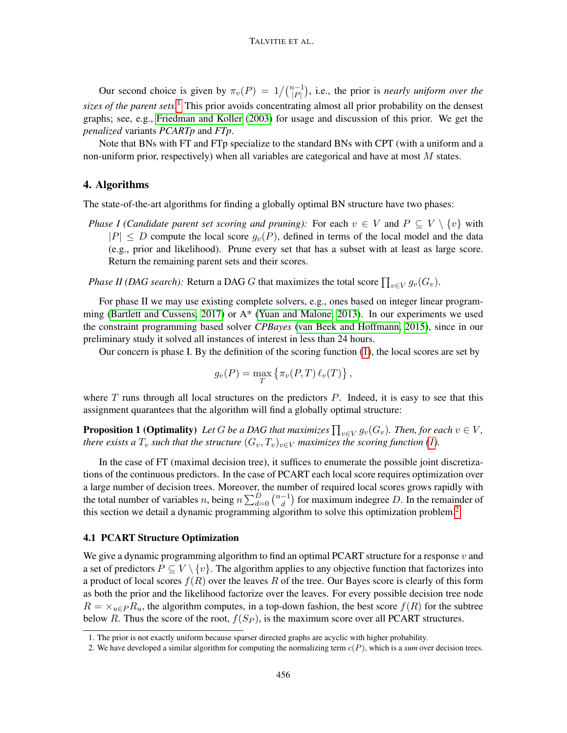Our second choice is given by  $\pi_v(P) = 1/{\binom{n-1}{|P|}}$ , i.e., the prior is *nearly uniform over the sizes of the parent sets*. [1](#page-5-0) This prior avoids concentrating almost all prior probability on the densest graphs; see, e.g., [Friedman and Koller](#page-11-9) [\(2003\)](#page-11-9) for usage and discussion of this prior. We get the *penalized* variants *PCARTp* and *FTp*.

Note that BNs with FT and FTp specialize to the standard BNs with CPT (with a uniform and a non-uniform prior, respectively) when all variables are categorical and have at most  $M$  states.

### 4. Algorithms

The state-of-the-art algorithms for finding a globally optimal BN structure have two phases:

*Phase I (Candidate parent set scoring and pruning):* For each  $v \in V$  and  $P \subseteq V \setminus \{v\}$  with  $|P| \leq D$  compute the local score  $q_v(P)$ , defined in terms of the local model and the data (e.g., prior and likelihood). Prune every set that has a subset with at least as large score. Return the remaining parent sets and their scores.

*Phase II (DAG search):* Return a DAG G that maximizes the total score  $\prod_{v \in V} g_v(G_v)$ .

For phase II we may use existing complete solvers, e.g., ones based on integer linear programming [\(Bartlett and Cussens, 2017\)](#page-10-5) or A\* [\(Yuan and Malone, 2013\)](#page-11-10). In our experiments we used the constraint programming based solver *CPBayes* [\(van Beek and Hoffmann, 2015\)](#page-11-11), since in our preliminary study it solved all instances of interest in less than 24 hours.

Our concern is phase I. By the definition of the scoring function [\(1\)](#page-3-1), the local scores are set by

$$
g_v(P) = \max_T \left\{ \pi_v(P,T) \, \ell_v(T) \right\},\,
$$

where  $T$  runs through all local structures on the predictors  $P$ . Indeed, it is easy to see that this assignment quarantees that the algorithm will find a globally optimal structure:

**Proposition 1 (Optimality**) Let G be a DAG that maximizes  $\prod_{v\in V} g_v(G_v)$ . Then, for each  $v\in V$ , *there exists a*  $T_v$  *such that the structure*  $(G_v, T_v)_{v \in V}$  *maximizes the scoring function* [\(1\)](#page-3-1)*.* 

In the case of FT (maximal decision tree), it suffices to enumerate the possible joint discretizations of the continuous predictors. In the case of PCART each local score requires optimization over a large number of decision trees. Moreover, the number of required local scores grows rapidly with the total number of variables *n*, being  $n \sum_{d=0}^{D} \binom{n-1}{d}$  $\binom{-1}{d}$  for maximum indegree D. In the remainder of this section we detail a dynamic programming algorithm to solve this optimization problem.[2](#page-5-1)

## <span id="page-5-2"></span>4.1 PCART Structure Optimization

We give a dynamic programming algorithm to find an optimal PCART structure for a response  $v$  and a set of predictors  $P \subseteq V \setminus \{v\}$ . The algorithm applies to any objective function that factorizes into a product of local scores  $f(R)$  over the leaves R of the tree. Our Bayes score is clearly of this form as both the prior and the likelihood factorize over the leaves. For every possible decision tree node  $R = \times_{u \in P} R_u$ , the algorithm computes, in a top-down fashion, the best score  $f(R)$  for the subtree below R. Thus the score of the root,  $f(S_P)$ , is the maximum score over all PCART structures.

<span id="page-5-0"></span><sup>1.</sup> The prior is not exactly uniform because sparser directed graphs are acyclic with higher probability.

<span id="page-5-1"></span><sup>2.</sup> We have developed a similar algorithm for computing the normalizing term c(P), which is a *sum* over decision trees.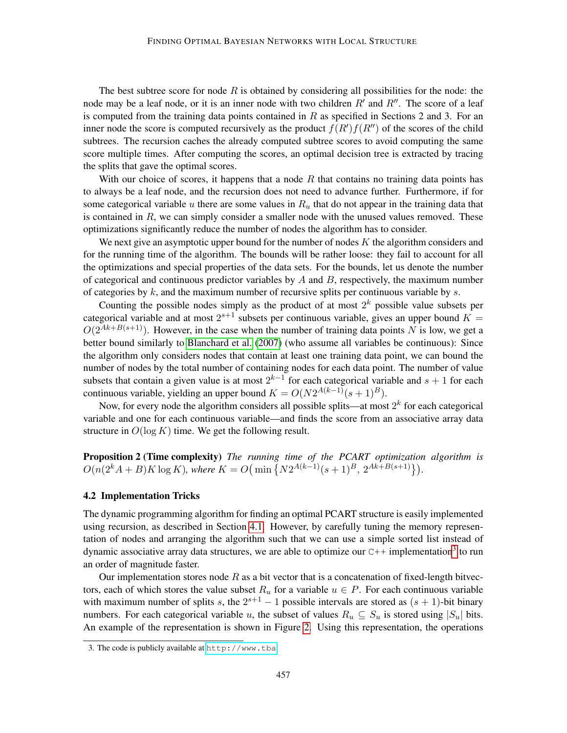The best subtree score for node  $R$  is obtained by considering all possibilities for the node: the node may be a leaf node, or it is an inner node with two children  $R'$  and  $R''$ . The score of a leaf is computed from the training data points contained in  $R$  as specified in Sections 2 and 3. For an inner node the score is computed recursively as the product  $f(R')f(R'')$  of the scores of the child subtrees. The recursion caches the already computed subtree scores to avoid computing the same score multiple times. After computing the scores, an optimal decision tree is extracted by tracing the splits that gave the optimal scores.

With our choice of scores, it happens that a node  $R$  that contains no training data points has to always be a leaf node, and the recursion does not need to advance further. Furthermore, if for some categorical variable u there are some values in  $R<sub>u</sub>$  that do not appear in the training data that is contained in  $R$ , we can simply consider a smaller node with the unused values removed. These optimizations significantly reduce the number of nodes the algorithm has to consider.

We next give an asymptotic upper bound for the number of nodes  $K$  the algorithm considers and for the running time of the algorithm. The bounds will be rather loose: they fail to account for all the optimizations and special properties of the data sets. For the bounds, let us denote the number of categorical and continuous predictor variables by  $A$  and  $B$ , respectively, the maximum number of categories by  $k$ , and the maximum number of recursive splits per continuous variable by  $s$ .

Counting the possible nodes simply as the product of at most  $2^k$  possible value subsets per categorical variable and at most  $2^{s+1}$  subsets per continuous variable, gives an upper bound  $K =$  $O(2^{Ak+B(s+1)})$ . However, in the case when the number of training data points N is low, we get a better bound similarly to [Blanchard et al.](#page-10-3) [\(2007\)](#page-10-3) (who assume all variables be continuous): Since the algorithm only considers nodes that contain at least one training data point, we can bound the number of nodes by the total number of containing nodes for each data point. The number of value subsets that contain a given value is at most  $2^{k-1}$  for each categorical variable and  $s + 1$  for each continuous variable, yielding an upper bound  $K = O(N2^{A(k-1)}(s+1)^B)$ .

Now, for every node the algorithm considers all possible splits—at most  $2^k$  for each categorical variable and one for each continuous variable—and finds the score from an associative array data structure in  $O(\log K)$  time. We get the following result.

Proposition 2 (Time complexity) *The running time of the PCART optimization algorithm is*  $O(n(2<sup>k</sup>A + B)K \log K)$ *, where*  $K = O(min \{N2^{A(k-1)}(s+1)^B, 2^{Ak+B(s+1)}\})$ .

#### 4.2 Implementation Tricks

The dynamic programming algorithm for finding an optimal PCART structure is easily implemented using recursion, as described in Section [4.1.](#page-5-2) However, by carefully tuning the memory representation of nodes and arranging the algorithm such that we can use a simple sorted list instead of dynamic associative array data structures, we are able to optimize our  $C++$  implementation<sup>[3](#page-6-0)</sup> to run an order of magnitude faster.

Our implementation stores node  $R$  as a bit vector that is a concatenation of fixed-length bitvectors, each of which stores the value subset  $R_u$  for a variable  $u \in P$ . For each continuous variable with maximum number of splits s, the  $2^{s+1} - 1$  possible intervals are stored as  $(s + 1)$ -bit binary numbers. For each categorical variable u, the subset of values  $R_u \subseteq S_u$  is stored using  $|S_u|$  bits. An example of the representation is shown in Figure [2.](#page-7-0) Using this representation, the operations

<span id="page-6-0"></span><sup>3.</sup> The code is publicly available at <http://www.tba>.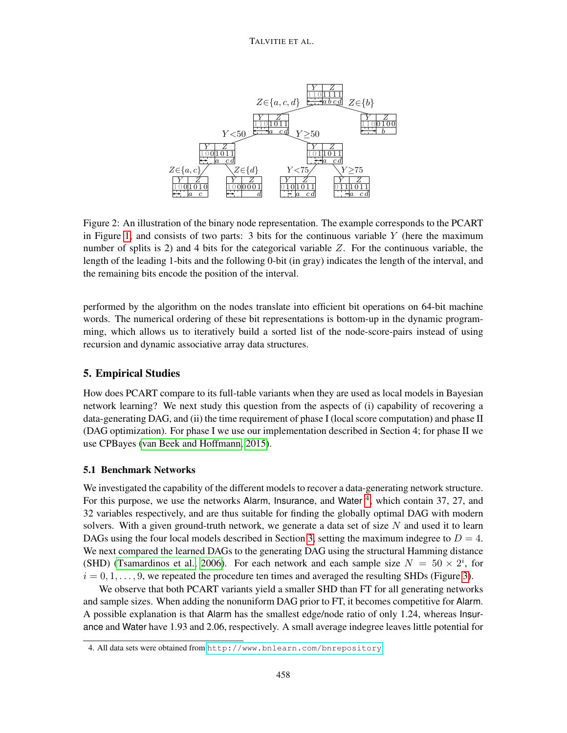<span id="page-7-0"></span>

Figure 2: An illustration of the binary node representation. The example corresponds to the PCART in Figure [1,](#page-3-0) and consists of two parts: 3 bits for the continuous variable  $Y$  (here the maximum number of splits is 2) and 4 bits for the categorical variable  $Z$ . For the continuous variable, the length of the leading 1-bits and the following 0-bit (in gray) indicates the length of the interval, and the remaining bits encode the position of the interval.

performed by the algorithm on the nodes translate into efficient bit operations on 64-bit machine words. The numerical ordering of these bit representations is bottom-up in the dynamic programming, which allows us to iteratively build a sorted list of the node-score-pairs instead of using recursion and dynamic associative array data structures.

# 5. Empirical Studies

How does PCART compare to its full-table variants when they are used as local models in Bayesian network learning? We next study this question from the aspects of (i) capability of recovering a data-generating DAG, and (ii) the time requirement of phase I (local score computation) and phase II (DAG optimization). For phase I we use our implementation described in Section 4; for phase II we use CPBayes [\(van Beek and Hoffmann, 2015\)](#page-11-11).

# 5.1 Benchmark Networks

We investigated the capability of the different models to recover a data-generating network structure. For this purpose, we use the networks Alarm, Insurance, and Water<sup>[4](#page-7-1)</sup>, which contain 37, 27, and 32 variables respectively, and are thus suitable for finding the globally optimal DAG with modern solvers. With a given ground-truth network, we generate a data set of size  $N$  and used it to learn DAGs using the four local models described in Section [3,](#page-3-2) setting the maximum indegree to  $D = 4$ . We next compared the learned DAGs to the generating DAG using the structural Hamming distance (SHD) [\(Tsamardinos et al., 2006\)](#page-11-12). For each network and each sample size  $N = 50 \times 2^{i}$ , for  $i = 0, 1, \ldots, 9$ , we repeated the procedure ten times and averaged the resulting SHDs (Figure [3\)](#page-8-0).

We observe that both PCART variants yield a smaller SHD than FT for all generating networks and sample sizes. When adding the nonuniform DAG prior to FT, it becomes competitive for Alarm. A possible explanation is that Alarm has the smallest edge/node ratio of only 1.24, whereas Insurance and Water have 1.93 and 2.06, respectively. A small average indegree leaves little potential for

<span id="page-7-1"></span><sup>4.</sup> All data sets were obtained from <http://www.bnlearn.com/bnrepository>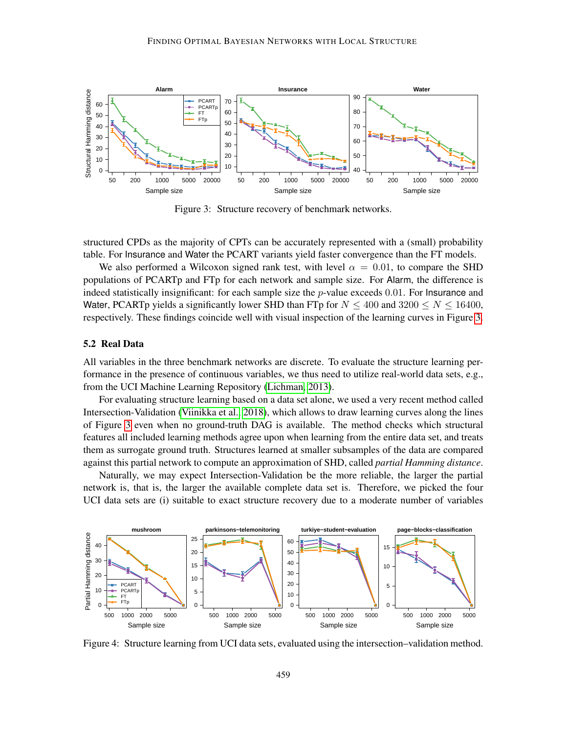<span id="page-8-0"></span>

Figure 3: Structure recovery of benchmark networks.

structured CPDs as the majority of CPTs can be accurately represented with a (small) probability table. For Insurance and Water the PCART variants yield faster convergence than the FT models.

We also performed a Wilcoxon signed rank test, with level  $\alpha = 0.01$ , to compare the SHD populations of PCARTp and FTp for each network and sample size. For Alarm, the difference is indeed statistically insignificant: for each sample size the  $p$ -value exceeds 0.01. For Insurance and Water, PCARTp yields a significantly lower SHD than FTp for  $N \le 400$  and  $3200 \le N \le 16400$ , respectively. These findings coincide well with visual inspection of the learning curves in Figure [3.](#page-8-0)

## 5.2 Real Data

All variables in the three benchmark networks are discrete. To evaluate the structure learning performance in the presence of continuous variables, we thus need to utilize real-world data sets, e.g., from the UCI Machine Learning Repository [\(Lichman, 2013\)](#page-11-13).

For evaluating structure learning based on a data set alone, we used a very recent method called Intersection-Validation [\(Viinikka et al., 2018\)](#page-11-14), which allows to draw learning curves along the lines of Figure [3](#page-8-0) even when no ground-truth DAG is available. The method checks which structural features all included learning methods agree upon when learning from the entire data set, and treats them as surrogate ground truth. Structures learned at smaller subsamples of the data are compared against this partial network to compute an approximation of SHD, called *partial Hamming distance*.

Naturally, we may expect Intersection-Validation be the more reliable, the larger the partial network is, that is, the larger the available complete data set is. Therefore, we picked the four UCI data sets are (i) suitable to exact structure recovery due to a moderate number of variables

<span id="page-8-1"></span>

Figure 4: Structure learning from UCI data sets, evaluated using the intersection–validation method.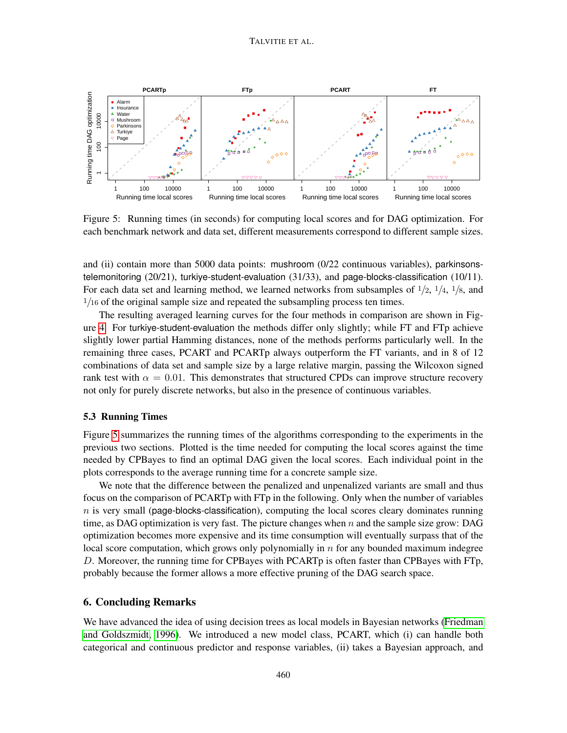<span id="page-9-0"></span>

Figure 5: Running times (in seconds) for computing local scores and for DAG optimization. For each benchmark network and data set, different measurements correspond to different sample sizes.

and (ii) contain more than 5000 data points: mushroom (0/22 continuous variables), parkinsonstelemonitoring  $(20/21)$ , turkiye-student-evaluation  $(31/33)$ , and page-blocks-classification  $(10/11)$ . For each data set and learning method, we learned networks from subsamples of  $1/2$ ,  $1/4$ ,  $1/8$ , and  $1/16$  of the original sample size and repeated the subsampling process ten times.

The resulting averaged learning curves for the four methods in comparison are shown in Figure [4.](#page-8-1) For turkiye-student-evaluation the methods differ only slightly; while FT and FTp achieve slightly lower partial Hamming distances, none of the methods performs particularly well. In the remaining three cases, PCART and PCARTp always outperform the FT variants, and in 8 of 12 combinations of data set and sample size by a large relative margin, passing the Wilcoxon signed rank test with  $\alpha = 0.01$ . This demonstrates that structured CPDs can improve structure recovery not only for purely discrete networks, but also in the presence of continuous variables.

## 5.3 Running Times

Figure [5](#page-9-0) summarizes the running times of the algorithms corresponding to the experiments in the previous two sections. Plotted is the time needed for computing the local scores against the time needed by CPBayes to find an optimal DAG given the local scores. Each individual point in the plots corresponds to the average running time for a concrete sample size.

We note that the difference between the penalized and unpenalized variants are small and thus focus on the comparison of PCARTp with FTp in the following. Only when the number of variables  $n$  is very small (page-blocks-classification), computing the local scores cleary dominates running time, as DAG optimization is very fast. The picture changes when  $n$  and the sample size grow: DAG optimization becomes more expensive and its time consumption will eventually surpass that of the local score computation, which grows only polynomially in  $n$  for any bounded maximum indegree D. Moreover, the running time for CPBayes with PCARTp is often faster than CPBayes with FTp, probably because the former allows a more effective pruning of the DAG search space.

# 6. Concluding Remarks

We have advanced the idea of using decision trees as local models in Bayesian networks [\(Friedman](#page-11-2) [and Goldszmidt, 1996\)](#page-11-2). We introduced a new model class, PCART, which (i) can handle both categorical and continuous predictor and response variables, (ii) takes a Bayesian approach, and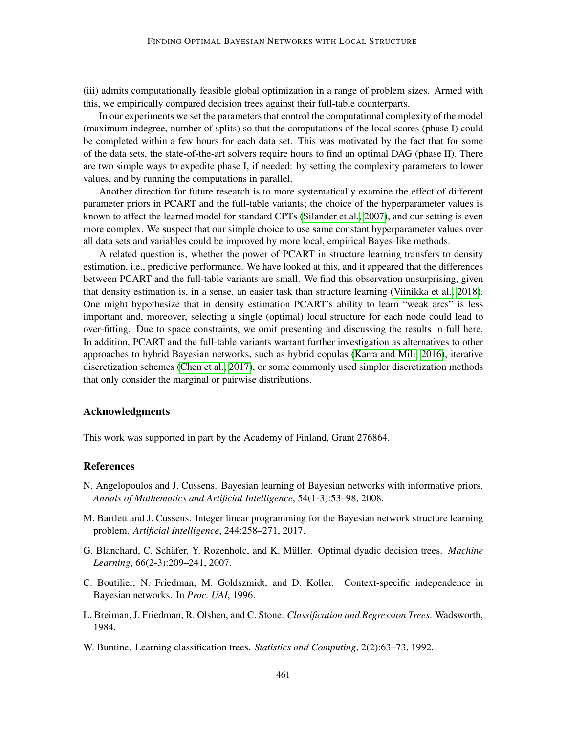(iii) admits computationally feasible global optimization in a range of problem sizes. Armed with this, we empirically compared decision trees against their full-table counterparts.

In our experiments we set the parameters that control the computational complexity of the model (maximum indegree, number of splits) so that the computations of the local scores (phase I) could be completed within a few hours for each data set. This was motivated by the fact that for some of the data sets, the state-of-the-art solvers require hours to find an optimal DAG (phase II). There are two simple ways to expedite phase I, if needed: by setting the complexity parameters to lower values, and by running the computations in parallel.

Another direction for future research is to more systematically examine the effect of different parameter priors in PCART and the full-table variants; the choice of the hyperparameter values is known to affect the learned model for standard CPTs [\(Silander et al., 2007\)](#page-11-15), and our setting is even more complex. We suspect that our simple choice to use same constant hyperparameter values over all data sets and variables could be improved by more local, empirical Bayes-like methods.

A related question is, whether the power of PCART in structure learning transfers to density estimation, i.e., predictive performance. We have looked at this, and it appeared that the differences between PCART and the full-table variants are small. We find this observation unsurprising, given that density estimation is, in a sense, an easier task than structure learning [\(Viinikka et al., 2018\)](#page-11-14). One might hypothesize that in density estimation PCART's ability to learn "weak arcs" is less important and, moreover, selecting a single (optimal) local structure for each node could lead to over-fitting. Due to space constraints, we omit presenting and discussing the results in full here. In addition, PCART and the full-table variants warrant further investigation as alternatives to other approaches to hybrid Bayesian networks, such as hybrid copulas [\(Karra and Mili, 2016\)](#page-11-16), iterative discretization schemes [\(Chen et al., 2017\)](#page-11-7), or some commonly used simpler discretization methods that only consider the marginal or pairwise distributions.

# Acknowledgments

This work was supported in part by the Academy of Finland, Grant 276864.

#### References

- <span id="page-10-4"></span>N. Angelopoulos and J. Cussens. Bayesian learning of Bayesian networks with informative priors. *Annals of Mathematics and Artificial Intelligence*, 54(1-3):53–98, 2008.
- <span id="page-10-5"></span>M. Bartlett and J. Cussens. Integer linear programming for the Bayesian network structure learning problem. *Artificial Intelligence*, 244:258–271, 2017.
- <span id="page-10-3"></span>G. Blanchard, C. Schäfer, Y. Rozenholc, and K. Müller. Optimal dyadic decision trees. *Machine Learning*, 66(2-3):209–241, 2007.
- <span id="page-10-0"></span>C. Boutilier, N. Friedman, M. Goldszmidt, and D. Koller. Context-specific independence in Bayesian networks. In *Proc. UAI*, 1996.
- <span id="page-10-1"></span>L. Breiman, J. Friedman, R. Olshen, and C. Stone. *Classification and Regression Trees*. Wadsworth, 1984.
- <span id="page-10-2"></span>W. Buntine. Learning classification trees. *Statistics and Computing*, 2(2):63–73, 1992.